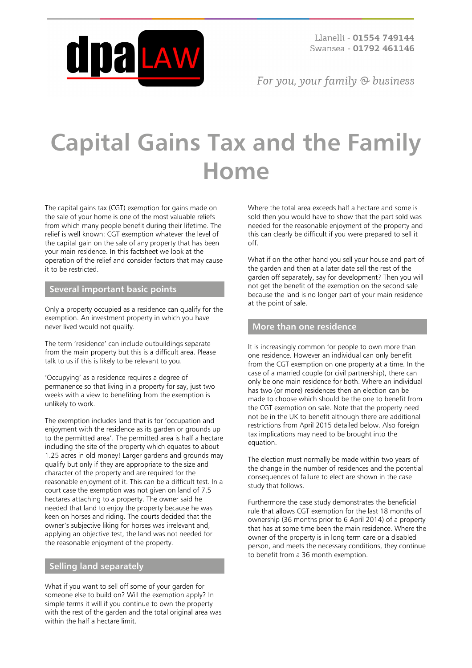

For you, your family  $\odot$  business

# **Capital Gains Tax and the Family Home**

The capital gains tax (CGT) exemption for gains made on the sale of your home is one of the most valuable reliefs from which many people benefit during their lifetime. The relief is well known: CGT exemption whatever the level of the capital gain on the sale of any property that has been your main residence. In this factsheet we look at the operation of the relief and consider factors that may cause it to be restricted.

## **Several important basic points**

Only a property occupied as a residence can qualify for the exemption. An investment property in which you have never lived would not qualify.

The term 'residence' can include outbuildings separate from the main property but this is a difficult area. Please talk to us if this is likely to be relevant to you.

'Occupying' as a residence requires a degree of permanence so that living in a property for say, just two weeks with a view to benefiting from the exemption is unlikely to work.

The exemption includes land that is for 'occupation and enjoyment with the residence as its garden or grounds up to the permitted area'. The permitted area is half a hectare including the site of the property which equates to about 1.25 acres in old money! Larger gardens and grounds may qualify but only if they are appropriate to the size and character of the property and are required for the reasonable enjoyment of it. This can be a difficult test. In a court case the exemption was not given on land of 7.5 hectares attaching to a property. The owner said he needed that land to enjoy the property because he was keen on horses and riding. The courts decided that the owner's subjective liking for horses was irrelevant and, applying an objective test, the land was not needed for the reasonable enjoyment of the property.

## **Selling land separately**

What if you want to sell off some of your garden for someone else to build on? Will the exemption apply? In simple terms it will if you continue to own the property with the rest of the garden and the total original area was within the half a hectare limit.

Where the total area exceeds half a hectare and some is sold then you would have to show that the part sold was needed for the reasonable enjoyment of the property and this can clearly be difficult if you were prepared to sell it off.

What if on the other hand you sell your house and part of the garden and then at a later date sell the rest of the garden off separately, say for development? Then you will not get the benefit of the exemption on the second sale because the land is no longer part of your main residence at the point of sale.

#### **More than one residence**

It is increasingly common for people to own more than one residence. However an individual can only benefit from the CGT exemption on one property at a time. In the case of a married couple (or civil partnership), there can only be one main residence for both. Where an individual has two (or more) residences then an election can be made to choose which should be the one to benefit from the CGT exemption on sale. Note that the property need not be in the UK to benefit although there are additional restrictions from April 2015 detailed below. Also foreign tax implications may need to be brought into the equation.

The election must normally be made within two years of the change in the number of residences and the potential consequences of failure to elect are shown in the case study that follows.

Furthermore the case study demonstrates the beneficial rule that allows CGT exemption for the last 18 months of ownership (36 months prior to 6 April 2014) of a property that has at some time been the main residence. Where the owner of the property is in long term care or a disabled person, and meets the necessary conditions, they continue to benefit from a 36 month exemption.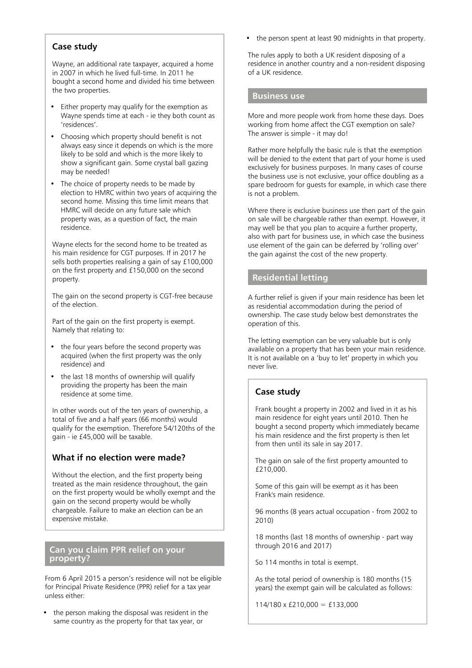# **Case study**

Wayne, an additional rate taxpayer, acquired a home in 2007 in which he lived full-time. In 2011 he bought a second home and divided his time between the two properties.

- Either property may qualify for the exemption as Wayne spends time at each - ie they both count as 'residences'.
- Choosing which property should benefit is not always easy since it depends on which is the more likely to be sold and which is the more likely to show a significant gain. Some crystal ball gazing may be needed!
- The choice of property needs to be made by election to HMRC within two years of acquiring the second home. Missing this time limit means that HMRC will decide on any future sale which property was, as a question of fact, the main residence.

Wayne elects for the second home to be treated as his main residence for CGT purposes. If in 2017 he sells both properties realising a gain of say £100,000 on the first property and £150,000 on the second property.

The gain on the second property is CGT-free because of the election.

Part of the gain on the first property is exempt. Namely that relating to:

- the four years before the second property was acquired (when the first property was the only residence) and
- the last 18 months of ownership will qualify providing the property has been the main residence at some time.

In other words out of the ten years of ownership, a total of five and a half years (66 months) would qualify for the exemption. Therefore 54/120ths of the gain - ie £45,000 will be taxable.

# **What if no election were made?**

Without the election, and the first property being treated as the main residence throughout, the gain on the first property would be wholly exempt and the gain on the second property would be wholly chargeable. Failure to make an election can be an expensive mistake.

### **Can you claim PPR relief on your property?**

From 6 April 2015 a person's residence will not be eligible for Principal Private Residence (PPR) relief for a tax year unless either:

the person making the disposal was resident in the same country as the property for that tax year, or

• the person spent at least 90 midnights in that property.

The rules apply to both a UK resident disposing of a residence in another country and a non-resident disposing of a UK residence.

#### **Business use**

More and more people work from home these days. Does working from home affect the CGT exemption on sale? The answer is simple - it may do!

Rather more helpfully the basic rule is that the exemption will be denied to the extent that part of your home is used exclusively for business purposes. In many cases of course the business use is not exclusive, your office doubling as a spare bedroom for guests for example, in which case there is not a problem.

Where there is exclusive business use then part of the gain on sale will be chargeable rather than exempt. However, it may well be that you plan to acquire a further property, also with part for business use, in which case the business use element of the gain can be deferred by 'rolling over' the gain against the cost of the new property.

# **Residential letting**

A further relief is given if your main residence has been let as residential accommodation during the period of ownership. The case study below best demonstrates the operation of this.

The letting exemption can be very valuable but is only available on a property that has been your main residence. It is not available on a 'buy to let' property in which you never live.

# **Case study**

Frank bought a property in 2002 and lived in it as his main residence for eight years until 2010. Then he bought a second property which immediately became his main residence and the first property is then let from then until its sale in say 2017.

The gain on sale of the first property amounted to £210,000.

Some of this gain will be exempt as it has been Frank's main residence.

96 months (8 years actual occupation - from 2002 to 2010)

18 months (last 18 months of ownership - part way through 2016 and 2017)

So 114 months in total is exempt.

As the total period of ownership is 180 months (15 years) the exempt gain will be calculated as follows:

 $114/180 \times \text{\pounds}210,000 = \text{\pounds}133,000$